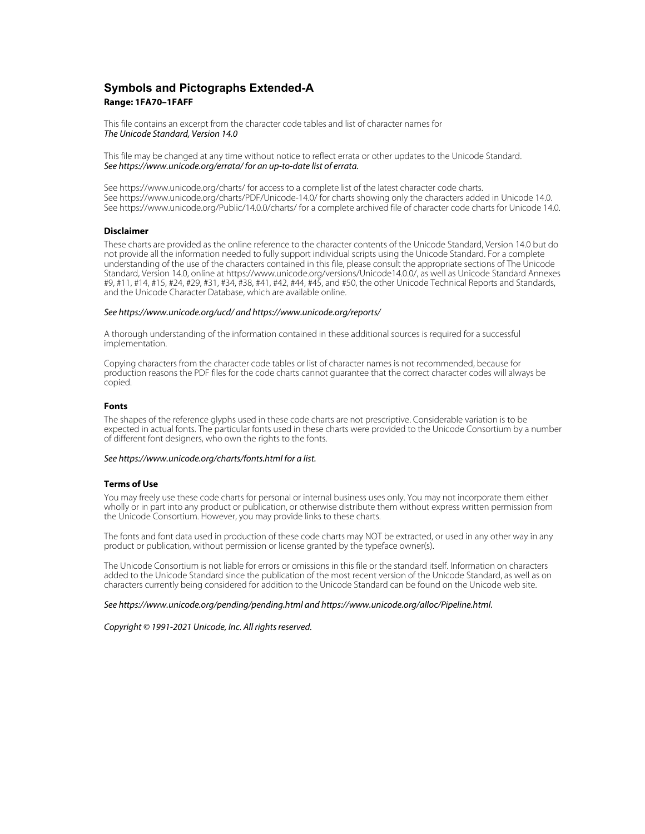# **Symbols and Pictographs Extended-A Range: 1FA70–1FAFF**

This file contains an excerpt from the character code tables and list of character names for The Unicode Standard, Version 14.0

This file may be changed at any time without notice to reflect errata or other updates to the Unicode Standard. See https://www.unicode.org/errata/ for an up-to-date list of errata.

See https://www.unicode.org/charts/ for access to a complete list of the latest character code charts. See https://www.unicode.org/charts/PDF/Unicode-14.0/ for charts showing only the characters added in Unicode 14.0. See https://www.unicode.org/Public/14.0.0/charts/ for a complete archived file of character code charts for Unicode 14.0.

# **Disclaimer**

These charts are provided as the online reference to the character contents of the Unicode Standard, Version 14.0 but do not provide all the information needed to fully support individual scripts using the Unicode Standard. For a complete understanding of the use of the characters contained in this file, please consult the appropriate sections of The Unicode Standard, Version 14.0, online at https://www.unicode.org/versions/Unicode14.0.0/, as well as Unicode Standard Annexes #9, #11, #14, #15, #24, #29, #31, #34, #38, #41, #42, #44, #45, and #50, the other Unicode Technical Reports and Standards, and the Unicode Character Database, which are available online.

### See https://www.unicode.org/ucd/ and https://www.unicode.org/reports/

A thorough understanding of the information contained in these additional sources is required for a successful implementation.

Copying characters from the character code tables or list of character names is not recommended, because for production reasons the PDF files for the code charts cannot guarantee that the correct character codes will always be copied.

#### **Fonts**

The shapes of the reference glyphs used in these code charts are not prescriptive. Considerable variation is to be expected in actual fonts. The particular fonts used in these charts were provided to the Unicode Consortium by a number of different font designers, who own the rights to the fonts.

## See https://www.unicode.org/charts/fonts.html for a list.

## **Terms of Use**

You may freely use these code charts for personal or internal business uses only. You may not incorporate them either wholly or in part into any product or publication, or otherwise distribute them without express written permission from the Unicode Consortium. However, you may provide links to these charts.

The fonts and font data used in production of these code charts may NOT be extracted, or used in any other way in any product or publication, without permission or license granted by the typeface owner(s).

The Unicode Consortium is not liable for errors or omissions in this file or the standard itself. Information on characters added to the Unicode Standard since the publication of the most recent version of the Unicode Standard, as well as on characters currently being considered for addition to the Unicode Standard can be found on the Unicode web site.

#### See https://www.unicode.org/pending/pending.html and https://www.unicode.org/alloc/Pipeline.html.

Copyright © 1991-2021 Unicode, Inc. All rights reserved.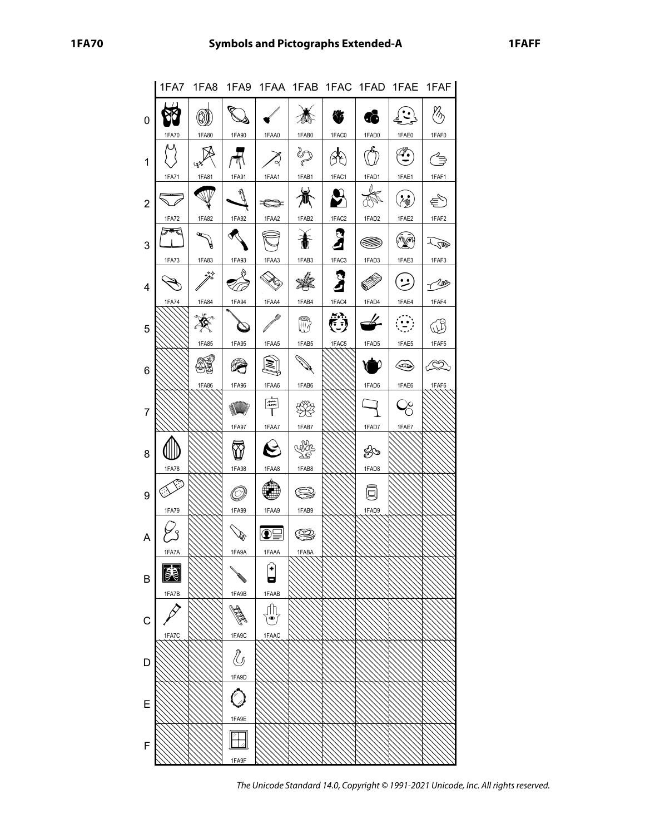|                |                                   |                      |               |                          |              |              |                           |                                                                                                                                                                                                                                                                                                                                                                             | 1FA7 1FA8 1FA9 1FAA 1FAB 1FAC 1FAD 1FAE 1FAF |
|----------------|-----------------------------------|----------------------|---------------|--------------------------|--------------|--------------|---------------------------|-----------------------------------------------------------------------------------------------------------------------------------------------------------------------------------------------------------------------------------------------------------------------------------------------------------------------------------------------------------------------------|----------------------------------------------|
| 0              |                                   | 0)                   | $\mathbb{Q}$  |                          |              | 签            | 6                         | $\begin{bmatrix} \cdot \\ \cdot \\ \cdot \end{bmatrix}$                                                                                                                                                                                                                                                                                                                     |                                              |
|                | 1FA70                             | 1FA80                | 1FA90         | 1FAA0                    | 1FAB0        | 1FAC0        | 1FAD0                     | 1FAE0                                                                                                                                                                                                                                                                                                                                                                       | 1FAF0                                        |
| $\mathbf{1}$   |                                   |                      | π             | Z,                       | $\mathbb{Z}$ | ୫ଚ           | $\mathbb{C}^{\mathbb{Z}}$ | $\begin{picture}(40,40) \put(0,0){\vector(0,1){30}} \put(15,0){\vector(0,1){30}} \put(15,0){\vector(0,1){30}} \put(15,0){\vector(0,1){30}} \put(15,0){\vector(0,1){30}} \put(15,0){\vector(0,1){30}} \put(15,0){\vector(0,1){30}} \put(15,0){\vector(0,1){30}} \put(15,0){\vector(0,1){30}} \put(15,0){\vector(0,1){30}} \put(15,0){\vector(0,1){30}} \put(15,0){\vector(0$ | €                                            |
|                | 1FA71                             | 1FA81                | 1FA91         | 1FAA1                    | 1FAB1        | 1FAC1        | 1FAD1                     | 1FAE1                                                                                                                                                                                                                                                                                                                                                                       | 1FAF1                                        |
| $\overline{2}$ |                                   | W                    |               | $\Rightarrow$            |              | $\mathbf{B}$ |                           | $\binom{1}{k}$                                                                                                                                                                                                                                                                                                                                                              | €                                            |
|                | <b>1FA72</b>                      | 1FA82                | 1FA92         | 1FAA2                    | 1FAB2        | $1FAC2$      | 1FAD2                     | 1FAE2                                                                                                                                                                                                                                                                                                                                                                       | 1FAF2                                        |
| 3              | $\not \hspace{-1.2mm} \mathbb{P}$ | $\mathscr{L}$        |               |                          | 奮            | Я            | ▩                         | 病的                                                                                                                                                                                                                                                                                                                                                                          | <b>COD</b>                                   |
|                | <b>1FA73</b>                      | 1FA83                | 1FA93         | 1FAA3                    | 1FAB3        | 1FAC3        | 1FAD3                     | 1FAE3                                                                                                                                                                                                                                                                                                                                                                       | 1FAF3                                        |
| 4              |                                   | $\overrightarrow{p}$ | ஜ             |                          | - K          | 3            |                           | (منأ                                                                                                                                                                                                                                                                                                                                                                        | $\mathbb{Z}^2$                               |
|                | <b>1FA74</b>                      | 1FA84                | 1FA94         | 1FAA4                    | 1FAB4        | 1FAC4        | 1FAD4                     | 1FAE4                                                                                                                                                                                                                                                                                                                                                                       | 1FAF4                                        |
| 5              |                                   |                      | $\sigma$      |                          | D            | Č            | $\overrightarrow{a}$      | $\left( \frac{1}{2} \right)$                                                                                                                                                                                                                                                                                                                                                |                                              |
|                |                                   | 1FA85                | 1FA95         | 1FAA5                    | 1FAB5        | 1FAC5        | 1FAD5                     | 1FAE5                                                                                                                                                                                                                                                                                                                                                                       | 1FAF5                                        |
| 6              |                                   |                      |               | $ \mathbb{H} $           | <b>DA</b>    |              |                           | $\langle \hspace{-0.2em} \langle \hspace{-0.2em} \langle \hspace{-0.2em} \langle \hspace{-0.2em} \langle \hspace{-0.2em} \langle \hspace{-0.2em} \langle \hspace{-0.2em} \langle \hspace{-0.2em} \langle \hspace{-0.2em} \langle \hspace{-0.2em} \langle \hspace{-0.2em} \langle \hspace{-0.2em} \rangle \hspace{-0.2em} \rangle \hspace{-0.2em} \rangle$                   | ∠∕∑                                          |
|                |                                   | 1FA86                | 1FA96         | 1FAA6                    | 1FAB6        |              | 1FAD6                     | 1FAE6                                                                                                                                                                                                                                                                                                                                                                       | 1FAF6                                        |
| 7              |                                   |                      |               | $\mathbb{F}$             |              |              |                           | Qo                                                                                                                                                                                                                                                                                                                                                                          |                                              |
|                |                                   |                      | 1FA97         | 1FAA7                    | 1FAB7        |              | 1FAD7                     | 1FAE7                                                                                                                                                                                                                                                                                                                                                                       |                                              |
| 8              |                                   |                      |               | $\bm{\Theta}$            | vy,          |              | ౪                         |                                                                                                                                                                                                                                                                                                                                                                             |                                              |
|                | <b>1FA78</b>                      |                      | 1FA98         | 1FAA8                    | 1FAB8        |              | 1FAD8                     |                                                                                                                                                                                                                                                                                                                                                                             |                                              |
| 9              | 3                                 |                      |               |                          | ÇD)          |              | 回                         |                                                                                                                                                                                                                                                                                                                                                                             |                                              |
|                | <b>1FA79</b>                      |                      | 1FA99         | 1FAA9                    | 1FAB9        |              | 1FAD9                     |                                                                                                                                                                                                                                                                                                                                                                             |                                              |
| A              |                                   |                      |               |                          |              |              |                           |                                                                                                                                                                                                                                                                                                                                                                             |                                              |
|                | <b>IFAIA</b>                      |                      | 1FA9A         | 1FAAA                    | 1FABA        |              |                           |                                                                                                                                                                                                                                                                                                                                                                             |                                              |
| В              | <b>ER</b>                         |                      | <b>READER</b> | $\left[ \bullet \right]$ |              |              |                           |                                                                                                                                                                                                                                                                                                                                                                             |                                              |
|                | 1FA7B                             |                      | 1FA9B         | 1FAAB                    |              |              |                           |                                                                                                                                                                                                                                                                                                                                                                             |                                              |
| C              |                                   |                      |               | $\bullet$                |              |              |                           |                                                                                                                                                                                                                                                                                                                                                                             |                                              |
|                | 1FA7C                             |                      | 1FA9C         | 1FAAC                    |              |              |                           |                                                                                                                                                                                                                                                                                                                                                                             |                                              |
| D              |                                   |                      | U<br>1FA9D    |                          |              |              |                           |                                                                                                                                                                                                                                                                                                                                                                             |                                              |
| Ε              |                                   |                      | C             |                          |              |              |                           |                                                                                                                                                                                                                                                                                                                                                                             |                                              |
|                |                                   |                      | 1FA9E         |                          |              |              |                           |                                                                                                                                                                                                                                                                                                                                                                             |                                              |
| F              |                                   |                      |               |                          |              |              |                           |                                                                                                                                                                                                                                                                                                                                                                             |                                              |

The Unicode Standard 14.0, Copyright © 1991-2021 Unicode, Inc. All rights reserved.